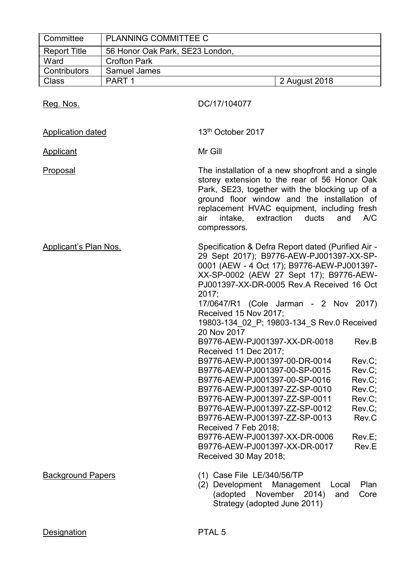| Committee                    | <b>PLANNING COMMITTEE C</b>     |                                                                                                                                                                                                                                                                                                                                                                                                                                                                                                                                                                                                                                                                                                                                                                                                                                                                                                   |
|------------------------------|---------------------------------|---------------------------------------------------------------------------------------------------------------------------------------------------------------------------------------------------------------------------------------------------------------------------------------------------------------------------------------------------------------------------------------------------------------------------------------------------------------------------------------------------------------------------------------------------------------------------------------------------------------------------------------------------------------------------------------------------------------------------------------------------------------------------------------------------------------------------------------------------------------------------------------------------|
| <b>Report Title</b>          | 56 Honor Oak Park, SE23 London, |                                                                                                                                                                                                                                                                                                                                                                                                                                                                                                                                                                                                                                                                                                                                                                                                                                                                                                   |
| Ward                         | <b>Crofton Park</b>             |                                                                                                                                                                                                                                                                                                                                                                                                                                                                                                                                                                                                                                                                                                                                                                                                                                                                                                   |
| Contributors                 | Samuel James                    |                                                                                                                                                                                                                                                                                                                                                                                                                                                                                                                                                                                                                                                                                                                                                                                                                                                                                                   |
| <b>Class</b>                 | PART <sub>1</sub>               | 2 August 2018                                                                                                                                                                                                                                                                                                                                                                                                                                                                                                                                                                                                                                                                                                                                                                                                                                                                                     |
| Reg. Nos.                    |                                 | DC/17/104077                                                                                                                                                                                                                                                                                                                                                                                                                                                                                                                                                                                                                                                                                                                                                                                                                                                                                      |
| <b>Application dated</b>     |                                 | 13 <sup>th</sup> October 2017                                                                                                                                                                                                                                                                                                                                                                                                                                                                                                                                                                                                                                                                                                                                                                                                                                                                     |
| <b>Applicant</b>             |                                 | Mr Gill                                                                                                                                                                                                                                                                                                                                                                                                                                                                                                                                                                                                                                                                                                                                                                                                                                                                                           |
| <b>Proposal</b>              |                                 | The installation of a new shopfront and a single<br>storey extension to the rear of 56 Honor Oak<br>Park, SE23, together with the blocking up of a<br>ground floor window and the installation of<br>replacement HVAC equipment, including fresh<br>intake, extraction<br>ducts<br>and<br>A/C<br>air<br>compressors.                                                                                                                                                                                                                                                                                                                                                                                                                                                                                                                                                                              |
| <b>Applicant's Plan Nos.</b> |                                 | Specification & Defra Report dated (Purified Air -<br>29 Sept 2017); B9776-AEW-PJ001397-XX-SP-<br>0001 (AEW - 4 Oct 17); B9776-AEW-PJ001397-<br>XX-SP-0002 (AEW 27 Sept 17); B9776-AEW-<br>PJ001397-XX-DR-0005 Rev.A Received 16 Oct<br>2017;<br>17/0647/R1 (Cole Jarman - 2 Nov 2017)<br>Received 15 Nov 2017;<br>19803-134 02 P; 19803-134 S Rev.0 Received<br>20 Nov 2017<br>B9776-AEW-PJ001397-XX-DR-0018<br>Rev.B<br>Received 11 Dec 2017;<br>B9776-AEW-PJ001397-00-DR-0014<br>Rev.C;<br>B9776-AEW-PJ001397-00-SP-0015<br>Rev.C;<br>Rev.C;<br>B9776-AEW-PJ001397-00-SP-0016<br>B9776-AEW-PJ001397-ZZ-SP-0010<br>Rev.C:<br>Rev.C;<br>B9776-AEW-PJ001397-ZZ-SP-0011<br>B9776-AEW-PJ001397-ZZ-SP-0012<br>Rev.C;<br>Rev.C<br>B9776-AEW-PJ001397-ZZ-SP-0013<br>Received 7 Feb 2018;<br>B9776-AEW-PJ001397-XX-DR-0006<br>Rev.E;<br>B9776-AEW-PJ001397-XX-DR-0017<br>Rev.E<br>Received 30 May 2018; |
| <b>Background Papers</b>     |                                 | (1) Case File LE/340/56/TP<br>(2) Development Management<br>Plan<br>Local<br>(adopted November 2014)<br>Core<br>and<br>Strategy (adopted June 2011)                                                                                                                                                                                                                                                                                                                                                                                                                                                                                                                                                                                                                                                                                                                                               |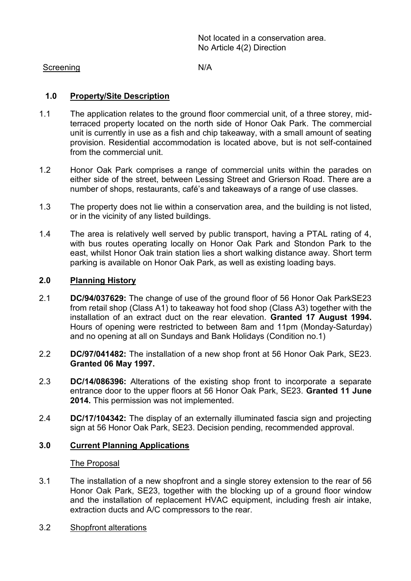Not located in a conservation area. No Article 4(2) Direction

#### Screening N/A

# **1.0 Property/Site Description**

- 1.1 The application relates to the ground floor commercial unit, of a three storey, midterraced property located on the north side of Honor Oak Park. The commercial unit is currently in use as a fish and chip takeaway, with a small amount of seating provision. Residential accommodation is located above, but is not self-contained from the commercial unit.
- 1.2 Honor Oak Park comprises a range of commercial units within the parades on either side of the street, between Lessing Street and Grierson Road. There are a number of shops, restaurants, café's and takeaways of a range of use classes.
- 1.3 The property does not lie within a conservation area, and the building is not listed, or in the vicinity of any listed buildings.
- 1.4 The area is relatively well served by public transport, having a PTAL rating of 4, with bus routes operating locally on Honor Oak Park and Stondon Park to the east, whilst Honor Oak train station lies a short walking distance away. Short term parking is available on Honor Oak Park, as well as existing loading bays.

# **2.0 Planning History**

- 2.1 **DC/94/037629:** The change of use of the ground floor of 56 Honor Oak ParkSE23 from retail shop (Class A1) to takeaway hot food shop (Class A3) together with the installation of an extract duct on the rear elevation. **Granted 17 August 1994.** Hours of opening were restricted to between 8am and 11pm (Monday-Saturday) and no opening at all on Sundays and Bank Holidays (Condition no.1)
- 2.2 **DC/97/041482:** The installation of a new shop front at 56 Honor Oak Park, SE23. **Granted 06 May 1997.**
- 2.3 **DC/14/086396:** Alterations of the existing shop front to incorporate a separate entrance door to the upper floors at 56 Honor Oak Park, SE23. **Granted 11 June 2014.** This permission was not implemented.
- 2.4 **DC/17/104342:** The display of an externally illuminated fascia sign and projecting sign at 56 Honor Oak Park, SE23. Decision pending, recommended approval.

## **3.0 Current Planning Applications**

#### The Proposal

- 3.1 The installation of a new shopfront and a single storey extension to the rear of 56 Honor Oak Park, SE23, together with the blocking up of a ground floor window and the installation of replacement HVAC equipment, including fresh air intake, extraction ducts and A/C compressors to the rear.
- 3.2 Shopfront alterations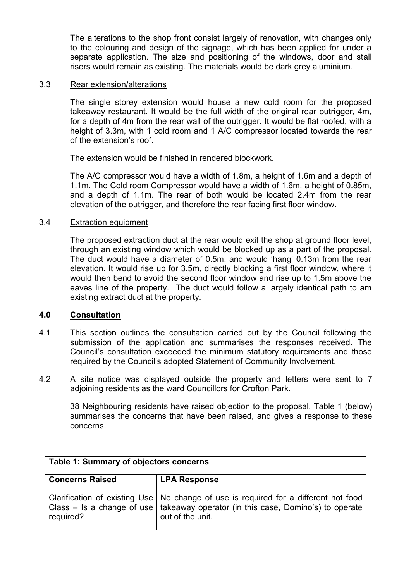The alterations to the shop front consist largely of renovation, with changes only to the colouring and design of the signage, which has been applied for under a separate application. The size and positioning of the windows, door and stall risers would remain as existing. The materials would be dark grey aluminium.

#### 3.3 Rear extension/alterations

The single storey extension would house a new cold room for the proposed takeaway restaurant. It would be the full width of the original rear outrigger, 4m, for a depth of 4m from the rear wall of the outrigger. It would be flat roofed, with a height of 3.3m, with 1 cold room and 1 A/C compressor located towards the rear of the extension's roof.

The extension would be finished in rendered blockwork.

The A/C compressor would have a width of 1.8m, a height of 1.6m and a depth of 1.1m. The Cold room Compressor would have a width of 1.6m, a height of 0.85m, and a depth of 1.1m. The rear of both would be located 2.4m from the rear elevation of the outrigger, and therefore the rear facing first floor window.

#### 3.4 Extraction equipment

The proposed extraction duct at the rear would exit the shop at ground floor level, through an existing window which would be blocked up as a part of the proposal. The duct would have a diameter of 0.5m, and would 'hang' 0.13m from the rear elevation. It would rise up for 3.5m, directly blocking a first floor window, where it would then bend to avoid the second floor window and rise up to 1.5m above the eaves line of the property. The duct would follow a largely identical path to am existing extract duct at the property.

## **4.0 Consultation**

- 4.1 This section outlines the consultation carried out by the Council following the submission of the application and summarises the responses received. The Council's consultation exceeded the minimum statutory requirements and those required by the Council's adopted Statement of Community Involvement.
- 4.2 A site notice was displayed outside the property and letters were sent to 7 adjoining residents as the ward Councillors for Crofton Park.

38 Neighbouring residents have raised objection to the proposal. Table 1 (below) summarises the concerns that have been raised, and gives a response to these concerns.

| Table 1: Summary of objectors concerns |                                                                                                                                                                                                 |  |
|----------------------------------------|-------------------------------------------------------------------------------------------------------------------------------------------------------------------------------------------------|--|
| <b>Concerns Raised</b>                 | <b>LPA Response</b>                                                                                                                                                                             |  |
| required?                              | Clarification of existing Use   No change of use is required for a different hot food<br>Class – Is a change of use   takeaway operator (in this case, Domino's) to operate<br>out of the unit. |  |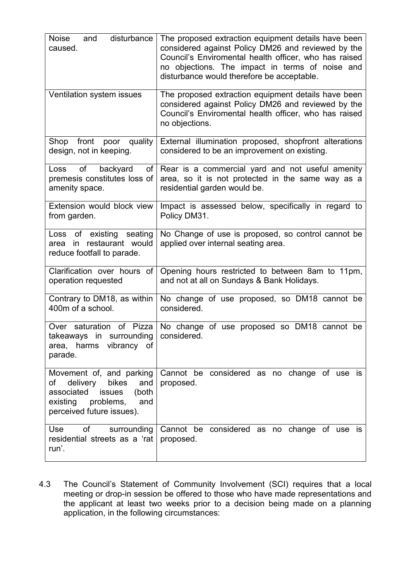| disturbance<br><b>Noise</b><br>and<br>caused.                                                                                                                   | The proposed extraction equipment details have been<br>considered against Policy DM26 and reviewed by the<br>Council's Enviromental health officer, who has raised<br>no objections. The impact in terms of noise and<br>disturbance would therefore be acceptable. |
|-----------------------------------------------------------------------------------------------------------------------------------------------------------------|---------------------------------------------------------------------------------------------------------------------------------------------------------------------------------------------------------------------------------------------------------------------|
| Ventilation system issues                                                                                                                                       | The proposed extraction equipment details have been<br>considered against Policy DM26 and reviewed by the<br>Council's Enviromental health officer, who has raised<br>no objections.                                                                                |
| front<br>quality<br>Shop<br>poor<br>design, not in keeping.                                                                                                     | External illumination proposed, shopfront alterations<br>considered to be an improvement on existing.                                                                                                                                                               |
| of<br>backyard<br>Loss<br>of<br>premesis constitutes loss of<br>amenity space.                                                                                  | Rear is a commercial yard and not useful amenity<br>area, so it is not protected in the same way as a<br>residential garden would be.                                                                                                                               |
| Extension would block view<br>from garden.                                                                                                                      | Impact is assessed below, specifically in regard to<br>Policy DM31.                                                                                                                                                                                                 |
| of<br>existing<br>seating<br>Loss<br>restaurant would<br>$\mathsf{in}$<br>area<br>reduce footfall to parade.                                                    | No Change of use is proposed, so control cannot be<br>applied over internal seating area.                                                                                                                                                                           |
| Clarification over hours of<br>operation requested                                                                                                              | Opening hours restricted to between 8am to 11pm,<br>and not at all on Sundays & Bank Holidays.                                                                                                                                                                      |
| Contrary to DM18, as within<br>400m of a school.                                                                                                                | No change of use proposed, so DM18 cannot be<br>considered.                                                                                                                                                                                                         |
| Over saturation<br>of Pizza<br>in surrounding<br>takeaways<br>area, harms vibrancy of<br>parade.                                                                | No change of use proposed so DM18 cannot be<br>considered.                                                                                                                                                                                                          |
| Movement of, and parking<br>delivery<br>bikes<br>of<br>and<br>associated<br>(both<br><b>issues</b><br>existing<br>problems,<br>and<br>perceived future issues). | Cannot be considered as no change of use is<br>proposed.                                                                                                                                                                                                            |
| <b>Use</b><br>οf<br>surrounding<br>residential streets as a 'rat  <br>run'.                                                                                     | Cannot be considered as no change of use is<br>proposed.                                                                                                                                                                                                            |

4.3 The Council's Statement of Community Involvement (SCI) requires that a local meeting or drop-in session be offered to those who have made representations and the applicant at least two weeks prior to a decision being made on a planning application, in the following circumstances: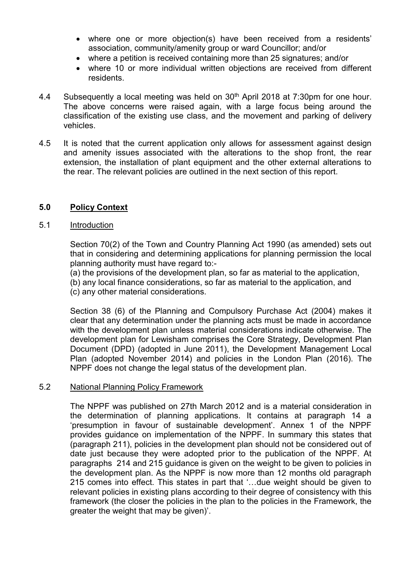- where one or more objection(s) have been received from a residents' association, community/amenity group or ward Councillor; and/or
- where a petition is received containing more than 25 signatures; and/or
- where 10 or more individual written objections are received from different residents.
- 4.4 Subsequently a local meeting was held on 30th April 2018 at 7:30pm for one hour. The above concerns were raised again, with a large focus being around the classification of the existing use class, and the movement and parking of delivery vehicles.
- 4.5 It is noted that the current application only allows for assessment against design and amenity issues associated with the alterations to the shop front, the rear extension, the installation of plant equipment and the other external alterations to the rear. The relevant policies are outlined in the next section of this report.

## **5.0 Policy Context**

#### 5.1 Introduction

Section 70(2) of the Town and Country Planning Act 1990 (as amended) sets out that in considering and determining applications for planning permission the local planning authority must have regard to:-

(a) the provisions of the development plan, so far as material to the application,

(b) any local finance considerations, so far as material to the application, and (c) any other material considerations.

Section 38 (6) of the Planning and Compulsory Purchase Act (2004) makes it clear that any determination under the planning acts must be made in accordance with the development plan unless material considerations indicate otherwise. The development plan for Lewisham comprises the Core Strategy, Development Plan Document (DPD) (adopted in June 2011), the Development Management Local Plan (adopted November 2014) and policies in the London Plan (2016). The NPPF does not change the legal status of the development plan.

## 5.2 National Planning Policy Framework

The NPPF was published on 27th March 2012 and is a material consideration in the determination of planning applications. It contains at paragraph 14 a 'presumption in favour of sustainable development'. Annex 1 of the NPPF provides guidance on implementation of the NPPF. In summary this states that (paragraph 211), policies in the development plan should not be considered out of date just because they were adopted prior to the publication of the NPPF. At paragraphs 214 and 215 guidance is given on the weight to be given to policies in the development plan. As the NPPF is now more than 12 months old paragraph 215 comes into effect. This states in part that '…due weight should be given to relevant policies in existing plans according to their degree of consistency with this framework (the closer the policies in the plan to the policies in the Framework, the greater the weight that may be given)'.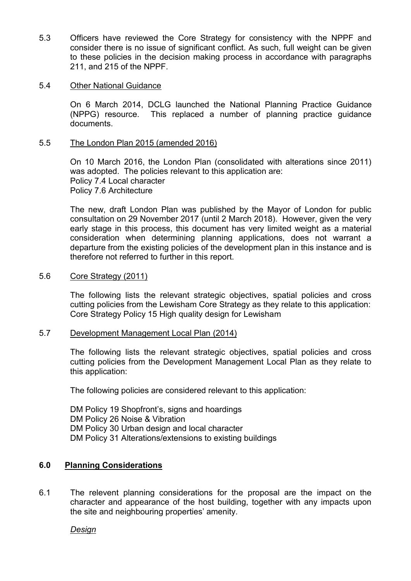5.3 Officers have reviewed the Core Strategy for consistency with the NPPF and consider there is no issue of significant conflict. As such, full weight can be given to these policies in the decision making process in accordance with paragraphs 211, and 215 of the NPPF.

#### 5.4 Other National Guidance

On 6 March 2014, DCLG launched the National Planning Practice Guidance (NPPG) resource. This replaced a number of planning practice guidance documents.

#### 5.5 The London Plan 2015 (amended 2016)

On 10 March 2016, the London Plan (consolidated with alterations since 2011) was adopted. The policies relevant to this application are: Policy 7.4 Local character Policy 7.6 Architecture

The new, draft London Plan was published by the Mayor of London for public consultation on 29 November 2017 (until 2 March 2018). However, given the very early stage in this process, this document has very limited weight as a material consideration when determining planning applications, does not warrant a departure from the existing policies of the development plan in this instance and is therefore not referred to further in this report.

#### 5.6 Core Strategy (2011)

The following lists the relevant strategic objectives, spatial policies and cross cutting policies from the Lewisham Core Strategy as they relate to this application: Core Strategy Policy 15 High quality design for Lewisham

## 5.7 Development Management Local Plan (2014)

The following lists the relevant strategic objectives, spatial policies and cross cutting policies from the Development Management Local Plan as they relate to this application:

The following policies are considered relevant to this application:

DM Policy 19 Shopfront's, signs and hoardings DM Policy 26 Noise & Vibration DM Policy 30 Urban design and local character DM Policy 31 Alterations/extensions to existing buildings

## **6.0 Planning Considerations**

6.1 The relevent planning considerations for the proposal are the impact on the character and appearance of the host building, together with any impacts upon the site and neighbouring properties' amenity.

*Design*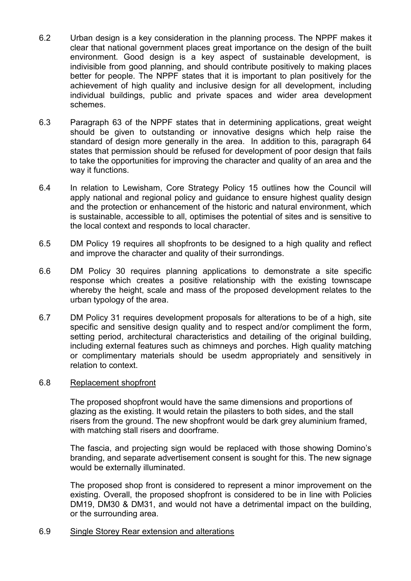- 6.2 Urban design is a key consideration in the planning process. The NPPF makes it clear that national government places great importance on the design of the built environment. Good design is a key aspect of sustainable development, is indivisible from good planning, and should contribute positively to making places better for people. The NPPF states that it is important to plan positively for the achievement of high quality and inclusive design for all development, including individual buildings, public and private spaces and wider area development schemes.
- 6.3 Paragraph 63 of the NPPF states that in determining applications, great weight should be given to outstanding or innovative designs which help raise the standard of design more generally in the area. In addition to this, paragraph 64 states that permission should be refused for development of poor design that fails to take the opportunities for improving the character and quality of an area and the way it functions.
- 6.4 In relation to Lewisham, Core Strategy Policy 15 outlines how the Council will apply national and regional policy and guidance to ensure highest quality design and the protection or enhancement of the historic and natural environment, which is sustainable, accessible to all, optimises the potential of sites and is sensitive to the local context and responds to local character.
- 6.5 DM Policy 19 requires all shopfronts to be designed to a high quality and reflect and improve the character and quality of their surrondings.
- 6.6 DM Policy 30 requires planning applications to demonstrate a site specific response which creates a positive relationship with the existing townscape whereby the height, scale and mass of the proposed development relates to the urban typology of the area.
- 6.7 DM Policy 31 requires development proposals for alterations to be of a high, site specific and sensitive design quality and to respect and/or compliment the form, setting period, architectural characteristics and detailing of the original building. including external features such as chimneys and porches. High quality matching or complimentary materials should be usedm appropriately and sensitively in relation to context.

#### 6.8 Replacement shopfront

The proposed shopfront would have the same dimensions and proportions of glazing as the existing. It would retain the pilasters to both sides, and the stall risers from the ground. The new shopfront would be dark grey aluminium framed, with matching stall risers and doorframe.

The fascia, and projecting sign would be replaced with those showing Domino's branding, and separate advertisement consent is sought for this. The new signage would be externally illuminated.

The proposed shop front is considered to represent a minor improvement on the existing. Overall, the proposed shopfront is considered to be in line with Policies DM19, DM30 & DM31, and would not have a detrimental impact on the building, or the surrounding area.

#### 6.9 Single Storey Rear extension and alterations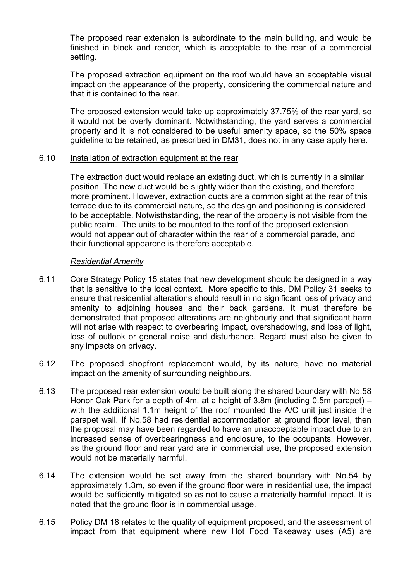The proposed rear extension is subordinate to the main building, and would be finished in block and render, which is acceptable to the rear of a commercial setting.

The proposed extraction equipment on the roof would have an acceptable visual impact on the appearance of the property, considering the commercial nature and that it is contained to the rear.

The proposed extension would take up approximately 37.75% of the rear yard, so it would not be overly dominant. Notwithstanding, the yard serves a commercial property and it is not considered to be useful amenity space, so the 50% space guideline to be retained, as prescribed in DM31, does not in any case apply here.

#### 6.10 Installation of extraction equipment at the rear

The extraction duct would replace an existing duct, which is currently in a similar position. The new duct would be slightly wider than the existing, and therefore more prominent. However, extraction ducts are a common sight at the rear of this terrace due to its commercial nature, so the design and positioning is considered to be acceptable. Notwisthstanding, the rear of the property is not visible from the public realm. The units to be mounted to the roof of the proposed extension would not appear out of character within the rear of a commercial parade, and their functional appearcne is therefore acceptable.

#### *Residential Amenity*

- 6.11 Core Strategy Policy 15 states that new development should be designed in a way that is sensitive to the local context. More specific to this, DM Policy 31 seeks to ensure that residential alterations should result in no significant loss of privacy and amenity to adjoining houses and their back gardens. It must therefore be demonstrated that proposed alterations are neighbourly and that significant harm will not arise with respect to overbearing impact, overshadowing, and loss of light, loss of outlook or general noise and disturbance. Regard must also be given to any impacts on privacy.
- 6.12 The proposed shopfront replacement would, by its nature, have no material impact on the amenity of surrounding neighbours.
- 6.13 The proposed rear extension would be built along the shared boundary with No.58 Honor Oak Park for a depth of 4m, at a height of 3.8m (including 0.5m parapet) – with the additional 1.1m height of the roof mounted the A/C unit just inside the parapet wall. If No.58 had residential accommodation at ground floor level, then the proposal may have been regarded to have an unaccpeptable impact due to an increased sense of overbearingness and enclosure, to the occupants. However, as the ground floor and rear yard are in commercial use, the proposed extension would not be materially harmful.
- 6.14 The extension would be set away from the shared boundary with No.54 by approximately 1.3m, so even if the ground floor were in residential use, the impact would be sufficiently mitigated so as not to cause a materially harmful impact. It is noted that the ground floor is in commercial usage.
- 6.15 Policy DM 18 relates to the quality of equipment proposed, and the assessment of impact from that equipment where new Hot Food Takeaway uses (A5) are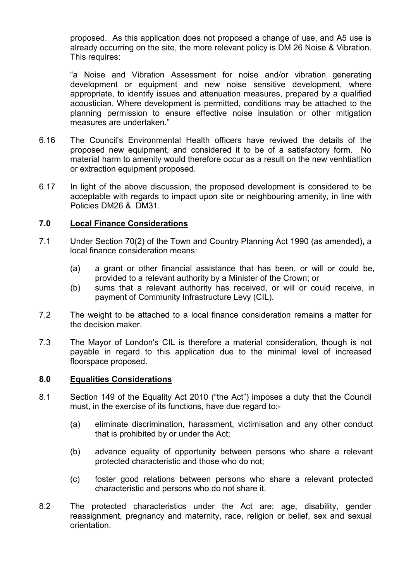proposed. As this application does not proposed a change of use, and A5 use is already occurring on the site, the more relevant policy is DM 26 Noise & Vibration. This requires:

"a Noise and Vibration Assessment for noise and/or vibration generating development or equipment and new noise sensitive development, where appropriate, to identify issues and attenuation measures, prepared by a qualified acoustician. Where development is permitted, conditions may be attached to the planning permission to ensure effective noise insulation or other mitigation measures are undertaken."

- 6.16 The Council's Environmental Health officers have reviwed the details of the proposed new equipment, and considered it to be of a satisfactory form. No material harm to amenity would therefore occur as a result on the new venhtialtion or extraction equipment proposed.
- 6.17 In light of the above discussion, the proposed development is considered to be acceptable with regards to impact upon site or neighbouring amenity, in line with Policies DM26 & DM31.

## **7.0 Local Finance Considerations**

- 7.1 Under Section 70(2) of the Town and Country Planning Act 1990 (as amended), a local finance consideration means:
	- (a) a grant or other financial assistance that has been, or will or could be, provided to a relevant authority by a Minister of the Crown; or
	- (b) sums that a relevant authority has received, or will or could receive, in payment of Community Infrastructure Levy (CIL).
- 7.2 The weight to be attached to a local finance consideration remains a matter for the decision maker.
- 7.3 The Mayor of London's CIL is therefore a material consideration, though is not payable in regard to this application due to the minimal level of increased floorspace proposed.

## **8.0 Equalities Considerations**

- 8.1 Section 149 of the Equality Act 2010 ("the Act") imposes a duty that the Council must, in the exercise of its functions, have due regard to:-
	- (a) eliminate discrimination, harassment, victimisation and any other conduct that is prohibited by or under the Act;
	- (b) advance equality of opportunity between persons who share a relevant protected characteristic and those who do not;
	- (c) foster good relations between persons who share a relevant protected characteristic and persons who do not share it.
- 8.2 The protected characteristics under the Act are: age, disability, gender reassignment, pregnancy and maternity, race, religion or belief, sex and sexual orientation.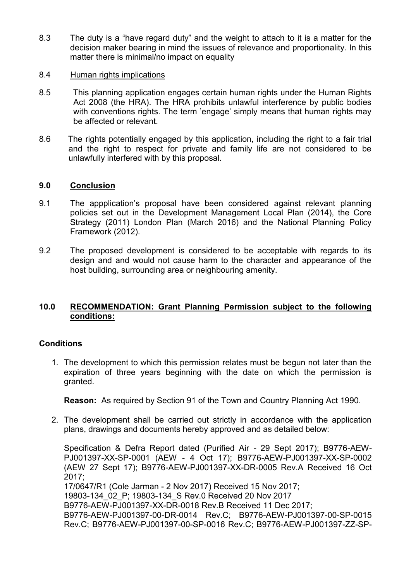- 8.3 The duty is a "have regard duty" and the weight to attach to it is a matter for the decision maker bearing in mind the issues of relevance and proportionality. In this matter there is minimal/no impact on equality
- 8.4 Human rights implications
- 8.5 This planning application engages certain human rights under the Human Rights Act 2008 (the HRA). The HRA prohibits unlawful interference by public bodies with conventions rights. The term 'engage' simply means that human rights may be affected or relevant.
- 8.6 The rights potentially engaged by this application, including the right to a fair trial and the right to respect for private and family life are not considered to be unlawfully interfered with by this proposal.

## **9.0 Conclusion**

- 9.1 The appplication's proposal have been considered against relevant planning policies set out in the Development Management Local Plan (2014), the Core Strategy (2011) London Plan (March 2016) and the National Planning Policy Framework (2012).
- 9.2 The proposed development is considered to be acceptable with regards to its design and and would not cause harm to the character and appearance of the host building, surrounding area or neighbouring amenity.

# **10.0 RECOMMENDATION: Grant Planning Permission subject to the following conditions:**

## **Conditions**

1. The development to which this permission relates must be begun not later than the expiration of three years beginning with the date on which the permission is granted.

**Reason:** As required by Section 91 of the Town and Country Planning Act 1990.

2. The development shall be carried out strictly in accordance with the application plans, drawings and documents hereby approved and as detailed below:

Specification & Defra Report dated (Purified Air - 29 Sept 2017); B9776-AEW-PJ001397-XX-SP-0001 (AEW - 4 Oct 17); B9776-AEW-PJ001397-XX-SP-0002 (AEW 27 Sept 17); B9776-AEW-PJ001397-XX-DR-0005 Rev.A Received 16 Oct 2017; 17/0647/R1 (Cole Jarman - 2 Nov 2017) Received 15 Nov 2017; 19803-134\_02\_P; 19803-134\_S Rev.0 Received 20 Nov 2017 B9776-AEW-PJ001397-XX-DR-0018 Rev.B Received 11 Dec 2017; B9776-AEW-PJ001397-00-DR-0014 Rev.C; B9776-AEW-PJ001397-00-SP-0015 Rev.C; B9776-AEW-PJ001397-00-SP-0016 Rev.C; B9776-AEW-PJ001397-ZZ-SP-